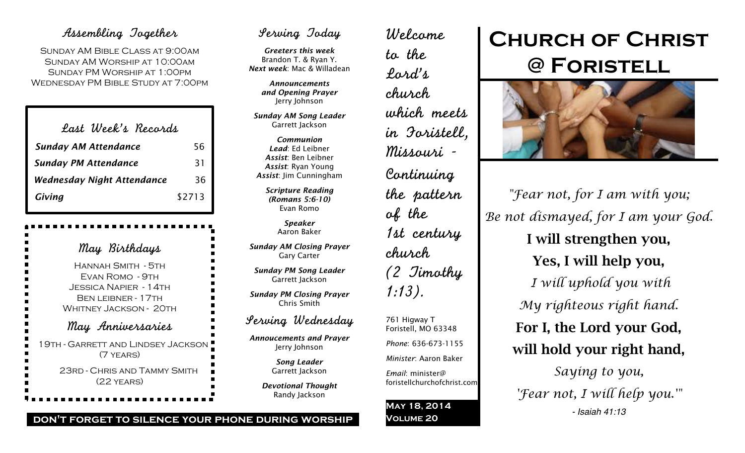# Assembling Together

Sunday AM Bible Class at 9:00am Sunday AM Worship at 10:00am Sunday PM Worship at 1:00pm Wednesday PM Bible Study at 7:00pm

| Last Week's Records               |        |
|-----------------------------------|--------|
| <b>Sunday AM Attendance</b>       | 56     |
| <b>Sunday PM Attendance</b>       | 31     |
| <b>Wednesday Night Attendance</b> | 36     |
| Giving                            | \$2713 |

May Birthdays Hannah Smith - 5th Evan Romo - 9th Jessica Napier - 14th BEN LEIBNER - 17TH WHITNEY JACKSON - 20TH May Anniversaries 19th - Garrett and Lindsey Jackson (7 years) 23rd - Chris and Tammy Smith (22 years)

# Serving Today

*Greeters this week* Brandon T. & Ryan Y. *Next week*: Mac & Willadean

> *Announcements and Opening Prayer* Jerry Johnson

*Sunday AM Song Leader* Garrett Jackson

*Communion Lead*: Ed Leibner *Assist*: Ben Leibner *Assist*: Ryan Young *Assist*: Jim Cunningham

> *Scripture Reading (Romans 5:6-10)* Evan Romo

> > *Speaker* Aaron Baker

*Sunday AM Closing Prayer* Gary Carter

*Sunday PM Song Leader* Garrett Jackson

*Sunday PM Closing Prayer* Chris Smith

# Serving Wednesday

*Annoucements and Prayer* Jerry Johnson

> *Song Leader* Garrett Jackson

*Devotional Thought* Randy Jackson

Welcome to the Lord's church which meets in Foristell, Missouri - Continuing the pattern of the 1st century church (2 Timothy 1:13). 761 Higway T Foristell, MO 63348 *Phone*: 636-673-1155 *Minister*: Aaron Baker *Email*: minister@ foristellchurchofchrist.com

**May 18, 2014 Volume 20**

# **Church of Christ @ Foristell**



*"Fear not, for I am with you; Be not dismayed, for I am your God.* I will strengthen you, Yes, I will help you, *I will uphold you with My righteous right hand.* For I, the Lord your God, will hold your right hand, *Saying to you, 'Fear not, I will help you.'" - Isaiah 41:13*

# **don't forget to silence your phone during worship**